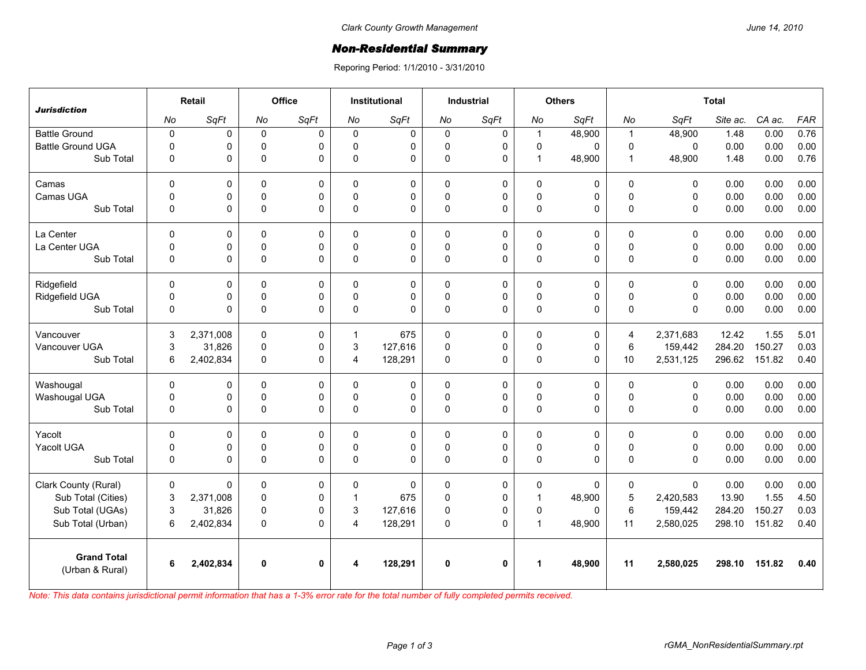## *Non-Residential Summary*

Reporing Period: 1/1/2010 - 3/31/2010

| <b>Jurisdiction</b>                   | Retail      |           | Office      |             | <b>Institutional</b> |             | <b>Industrial</b> |             | <b>Others</b>        |          | <b>Total</b>   |              |          |        |            |
|---------------------------------------|-------------|-----------|-------------|-------------|----------------------|-------------|-------------------|-------------|----------------------|----------|----------------|--------------|----------|--------|------------|
|                                       | No          | SqFt      | No          | SqFt        | No                   | SqFt        | No                | SqFt        | No                   | SqFt     | No             | SqFt         | Site ac. | CA ac. | <b>FAR</b> |
| <b>Battle Ground</b>                  | $\mathbf 0$ | 0         | $\mathbf 0$ | 0           | $\mathbf 0$          | $\mathbf 0$ | $\mathbf 0$       | $\pmb{0}$   | $\mathbf{1}$         | 48,900   | $\mathbf{1}$   | 48,900       | 1.48     | 0.00   | 0.76       |
| <b>Battle Ground UGA</b>              | 0           | 0         | $\mathbf 0$ | $\Omega$    | $\Omega$             | 0           | 0                 | $\mathbf 0$ | $\pmb{0}$            | 0        | $\pmb{0}$      | $\mathbf 0$  | 0.00     | 0.00   | 0.00       |
| Sub Total                             | 0           | 0         | $\mathbf 0$ | 0           | $\mathbf 0$          | 0           | $\pmb{0}$         | $\mathbf 0$ | $\mathbf{1}$         | 48,900   | $\mathbf{1}$   | 48,900       | 1.48     | 0.00   | 0.76       |
| Camas                                 | $\mathbf 0$ | 0         | $\mathbf 0$ | 0           | $\Omega$             | 0           | $\mathbf 0$       | $\pmb{0}$   | $\mathbf 0$          | 0        | $\mathbf 0$    | $\mathbf 0$  | 0.00     | 0.00   | 0.00       |
| Camas UGA                             | 0           | 0         | $\mathbf 0$ | $\Omega$    | $\mathbf{0}$         | 0           | 0                 | 0           | $\pmb{0}$            | 0        | $\pmb{0}$      | $\mathbf 0$  | 0.00     | 0.00   | 0.00       |
| Sub Total                             | 0           | 0         | $\pmb{0}$   | $\mathbf 0$ | $\mathbf 0$          | 0           | $\pmb{0}$         | 0           | $\mathsf 0$          | 0        | $\mathbf 0$    | $\mathsf 0$  | 0.00     | 0.00   | 0.00       |
| La Center                             | $\mathbf 0$ | 0         | $\mathbf 0$ | 0           | $\mathbf{0}$         | 0           | $\mathbf 0$       | 0           | $\mathbf 0$          | 0        | $\pmb{0}$      | $\mathbf 0$  | 0.00     | 0.00   | 0.00       |
| La Center UGA                         | $\mathbf 0$ | 0         | $\mathbf 0$ | 0           | $\Omega$             | 0           | $\mathbf 0$       | $\mathbf 0$ | $\mathbf 0$          | 0        | $\mathbf 0$    | $\mathbf 0$  | 0.00     | 0.00   | 0.00       |
| Sub Total                             | $\mathbf 0$ | 0         | $\pmb{0}$   | $\Omega$    | $\Omega$             | 0           | $\pmb{0}$         | $\mathbf 0$ | $\mathsf 0$          | 0        | $\Omega$       | $\mathsf 0$  | 0.00     | 0.00   | 0.00       |
| Ridgefield                            | $\Omega$    | 0         | 0           | $\Omega$    | 0                    | 0           | 0                 | $\mathbf 0$ | 0                    | 0        | 0              | $\mathbf 0$  | 0.00     | 0.00   | 0.00       |
| Ridgefield UGA                        | 0           | 0         | $\mathbf 0$ | $\Omega$    | $\mathbf{0}$         | 0           | $\mathbf 0$       | 0           | $\mathbf 0$          | 0        | $\Omega$       | $\mathbf 0$  | 0.00     | 0.00   | 0.00       |
| Sub Total                             | 0           | 0         | $\mathbf 0$ | $\Omega$    | $\Omega$             | 0           | $\mathbf 0$       | $\Omega$    | $\mathbf 0$          | 0        | $\Omega$       | $\mathbf{0}$ | 0.00     | 0.00   | 0.00       |
| Vancouver                             | 3           | 2,371,008 | 0           | 0           | $\mathbf 1$          | 675         | $\mathbf 0$       | $\mathbf 0$ | 0                    | 0        | $\overline{4}$ | 2,371,683    | 12.42    | 1.55   | 5.01       |
| Vancouver UGA                         | 3           | 31,826    | 0           | 0           | 3                    | 127,616     | 0                 | 0           | $\pmb{0}$            | 0        | $\,6\,$        | 159,442      | 284.20   | 150.27 | 0.03       |
| Sub Total                             | 6           | 2,402,834 | 0           | $\Omega$    | 4                    | 128,291     | $\mathbf 0$       | $\Omega$    | $\mathbf 0$          | 0        | 10             | 2,531,125    | 296.62   | 151.82 | 0.40       |
| Washougal                             | $\Omega$    | 0         | 0           | $\Omega$    | 0                    | 0           | $\Omega$          | $\mathbf 0$ | 0                    | 0        | $\mathbf 0$    | $\mathbf 0$  | 0.00     | 0.00   | 0.00       |
| Washougal UGA                         | 0           | 0         | 0           | 0           | $\mathbf{0}$         | 0           | 0                 | 0           | $\pmb{0}$            | 0        | $\pmb{0}$      | $\pmb{0}$    | 0.00     | 0.00   | 0.00       |
| Sub Total                             | $\mathbf 0$ | 0         | $\mathbf 0$ | $\Omega$    | 0                    | $\Omega$    | $\mathbf 0$       | $\Omega$    | $\pmb{0}$            | 0        | $\Omega$       | $\mathbf 0$  | 0.00     | 0.00   | 0.00       |
| Yacolt                                | $\mathbf 0$ | 0         | 0           | $\Omega$    | $\Omega$             | 0           | $\mathbf 0$       | 0           | 0                    | 0        | $\mathbf 0$    | $\mathbf 0$  | 0.00     | 0.00   | 0.00       |
| Yacolt UGA                            | 0           | 0         | 0           | 0           | $\mathbf{0}$         | 0           | 0                 | 0           | $\pmb{0}$            | 0        | $\pmb{0}$      | $\pmb{0}$    | 0.00     | 0.00   | 0.00       |
| Sub Total                             | 0           | 0         | $\mathbf 0$ | $\Omega$    | $\Omega$             | $\Omega$    | $\mathbf 0$       | $\Omega$    | $\pmb{0}$            | 0        | $\Omega$       | $\mathbf{0}$ | 0.00     | 0.00   | 0.00       |
| Clark County (Rural)                  | 0           | 0         | 0           | $\Omega$    | $\Omega$             | $\Omega$    | $\Omega$          | $\mathbf 0$ | 0                    | 0        | 0              | $\mathbf{0}$ | 0.00     | 0.00   | 0.00       |
| Sub Total (Cities)                    | 3           | 2,371,008 | $\mathbf 0$ | 0           | 1                    | 675         | $\pmb{0}$         | 0           | $\mathbf{1}$         | 48,900   | $\overline{5}$ | 2,420,583    | 13.90    | 1.55   | 4.50       |
| Sub Total (UGAs)                      | 3           | 31,826    | 0           | $\Omega$    | 3                    | 127,616     | $\mathbf 0$       | $\mathbf 0$ | $\mathbf 0$          | $\Omega$ | 6              | 159,442      | 284.20   | 150.27 | 0.03       |
| Sub Total (Urban)                     | 6           | 2,402,834 | 0           | $\Omega$    | $\overline{4}$       | 128,291     | $\Omega$          | $\Omega$    | $\mathbf{1}$         | 48,900   | 11             | 2,580,025    | 298.10   | 151.82 | 0.40       |
| <b>Grand Total</b><br>(Urban & Rural) | 6           | 2,402,834 | 0           | $\mathbf 0$ |                      | 128,291     | $\mathbf 0$       | $\mathbf 0$ | $\blacktriangleleft$ | 48,900   | 11             | 2,580,025    | 298.10   | 151.82 | 0.40       |

*Note: This data contains jurisdictional permit information that has a 1-3% error rate for the total number of fully completed permits received.*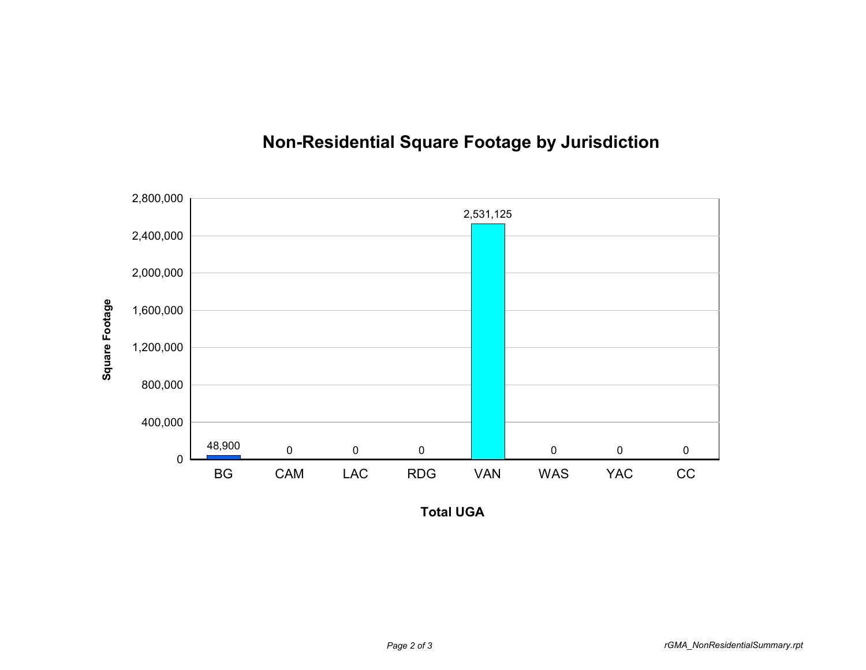

## **Non-Residential Square Footage by Jurisdiction**

**Total UGA**